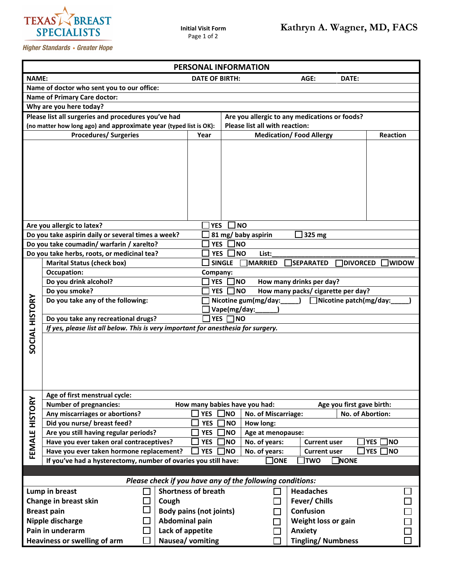

**Higher Standards • Greater Hope** 

| PERSONAL INFORMATION                                                                |                                                                                                      |                                |                                                                                        |         |  |  |  |  |  |  |
|-------------------------------------------------------------------------------------|------------------------------------------------------------------------------------------------------|--------------------------------|----------------------------------------------------------------------------------------|---------|--|--|--|--|--|--|
| <b>NAME:</b><br><b>DATE OF BIRTH:</b><br>AGE:<br>DATE:                              |                                                                                                      |                                |                                                                                        |         |  |  |  |  |  |  |
| Name of doctor who sent you to our office:                                          |                                                                                                      |                                |                                                                                        |         |  |  |  |  |  |  |
| <b>Name of Primary Care doctor:</b>                                                 |                                                                                                      |                                |                                                                                        |         |  |  |  |  |  |  |
| Why are you here today?                                                             |                                                                                                      |                                |                                                                                        |         |  |  |  |  |  |  |
|                                                                                     | Please list all surgeries and procedures you've had<br>Are you allergic to any medications or foods? |                                |                                                                                        |         |  |  |  |  |  |  |
|                                                                                     | (no matter how long ago) and approximate year (typed list is OK):                                    | Please list all with reaction: |                                                                                        |         |  |  |  |  |  |  |
| <b>Procedures/ Surgeries</b><br>Year                                                |                                                                                                      |                                | <b>Medication/Food Allergy</b><br>Reaction                                             |         |  |  |  |  |  |  |
|                                                                                     |                                                                                                      |                                |                                                                                        |         |  |  |  |  |  |  |
|                                                                                     | Are you allergic to latex?                                                                           | <b>YES</b>                     | NO                                                                                     |         |  |  |  |  |  |  |
|                                                                                     | Do you take aspirin daily or several times a week?                                                   |                                | 81 mg/ baby aspirin<br>325 mg                                                          |         |  |  |  |  |  |  |
|                                                                                     | Do you take coumadin/ warfarin / xarelto?                                                            | <b>YES</b>                     | <b>NO</b>                                                                              |         |  |  |  |  |  |  |
|                                                                                     | Do you take herbs, roots, or medicinal tea?                                                          | <b>YES</b>                     | <b>NO</b><br>List:                                                                     |         |  |  |  |  |  |  |
|                                                                                     | <b>Marital Status (check box)</b>                                                                    |                                | <b>SINGLE</b><br><b>MARRIED</b><br><b>SEPARATED</b><br><b>DIVORCED</b><br><b>WIDOW</b> |         |  |  |  |  |  |  |
|                                                                                     | <b>Occupation:</b><br>Company:                                                                       |                                |                                                                                        |         |  |  |  |  |  |  |
|                                                                                     | Do you drink alcohol?<br>]NO<br>How many drinks per day?<br><b>YES</b>                               |                                |                                                                                        |         |  |  |  |  |  |  |
|                                                                                     | Do you smoke?                                                                                        | <b>YES</b>                     | How many packs/ cigarette per day?<br><b>NO</b>                                        |         |  |  |  |  |  |  |
|                                                                                     | Do you take any of the following:                                                                    |                                | Nicotine gum(mg/day:<br>$\Box$ Nicotine patch(mg/day:                                  |         |  |  |  |  |  |  |
|                                                                                     |                                                                                                      |                                | Vape(mg/day:                                                                           |         |  |  |  |  |  |  |
|                                                                                     | Do you take any recreational drugs?<br>YES □ NO                                                      |                                |                                                                                        |         |  |  |  |  |  |  |
|                                                                                     | If yes, please list all below. This is very important for anesthesia for surgery.                    |                                |                                                                                        |         |  |  |  |  |  |  |
| <b>SOCIAL HISTORY</b>                                                               |                                                                                                      |                                |                                                                                        |         |  |  |  |  |  |  |
|                                                                                     | Age of first menstrual cycle:                                                                        |                                |                                                                                        |         |  |  |  |  |  |  |
| FEMALE HISTORY                                                                      | <b>Number of pregnancies:</b>                                                                        |                                | How many babies have you had:<br>Age you first gave birth:                             |         |  |  |  |  |  |  |
|                                                                                     | Any miscarriages or abortions?                                                                       | <b>YES</b>                     | ]NO<br>No. of Abortion:<br>No. of Miscarriage:                                         |         |  |  |  |  |  |  |
|                                                                                     | Did you nurse/ breast feed?                                                                          | <b>YES</b>                     | <b>NO</b><br>How long:                                                                 |         |  |  |  |  |  |  |
|                                                                                     | Are you still having regular periods?                                                                | <b>YES</b>                     | <b>NO</b><br>Age at menopause:                                                         |         |  |  |  |  |  |  |
|                                                                                     | Have you ever taken oral contraceptives?                                                             | <b>YES</b>                     | <b>YES</b><br><b>NO</b><br><b>Current user</b><br><b>NO</b><br>No. of years:           |         |  |  |  |  |  |  |
|                                                                                     | Have you ever taken hormone replacement?                                                             | <b>YES</b>                     | No. of years:<br><b>YES</b><br>]NO<br><b>NO</b><br><b>Current user</b>                 |         |  |  |  |  |  |  |
|                                                                                     | If you've had a hysterectomy, number of ovaries you still have:                                      |                                | $\Box$ NONE<br>$\Box$ ONE<br><b>TWO</b>                                                |         |  |  |  |  |  |  |
| Please check if you have any of the following conditions:                           |                                                                                                      |                                |                                                                                        |         |  |  |  |  |  |  |
|                                                                                     |                                                                                                      |                                |                                                                                        |         |  |  |  |  |  |  |
| <b>Shortness of breath</b><br>Lump in breast                                        |                                                                                                      |                                | <b>Headaches</b>                                                                       |         |  |  |  |  |  |  |
|                                                                                     | Change in breast skin<br>Cough                                                                       |                                | Fever/ Chills                                                                          |         |  |  |  |  |  |  |
|                                                                                     | <b>Breast pain</b>                                                                                   | <b>Body pains (not joints)</b> | Confusion                                                                              |         |  |  |  |  |  |  |
|                                                                                     | Nipple discharge<br>Abdominal pain                                                                   |                                | Weight loss or gain                                                                    |         |  |  |  |  |  |  |
|                                                                                     | Pain in underarm<br>Lack of appetite                                                                 |                                |                                                                                        | Anxiety |  |  |  |  |  |  |
| <b>Tingling/Numbness</b><br><b>Heaviness or swelling of arm</b><br>Nausea/ vomiting |                                                                                                      |                                |                                                                                        |         |  |  |  |  |  |  |